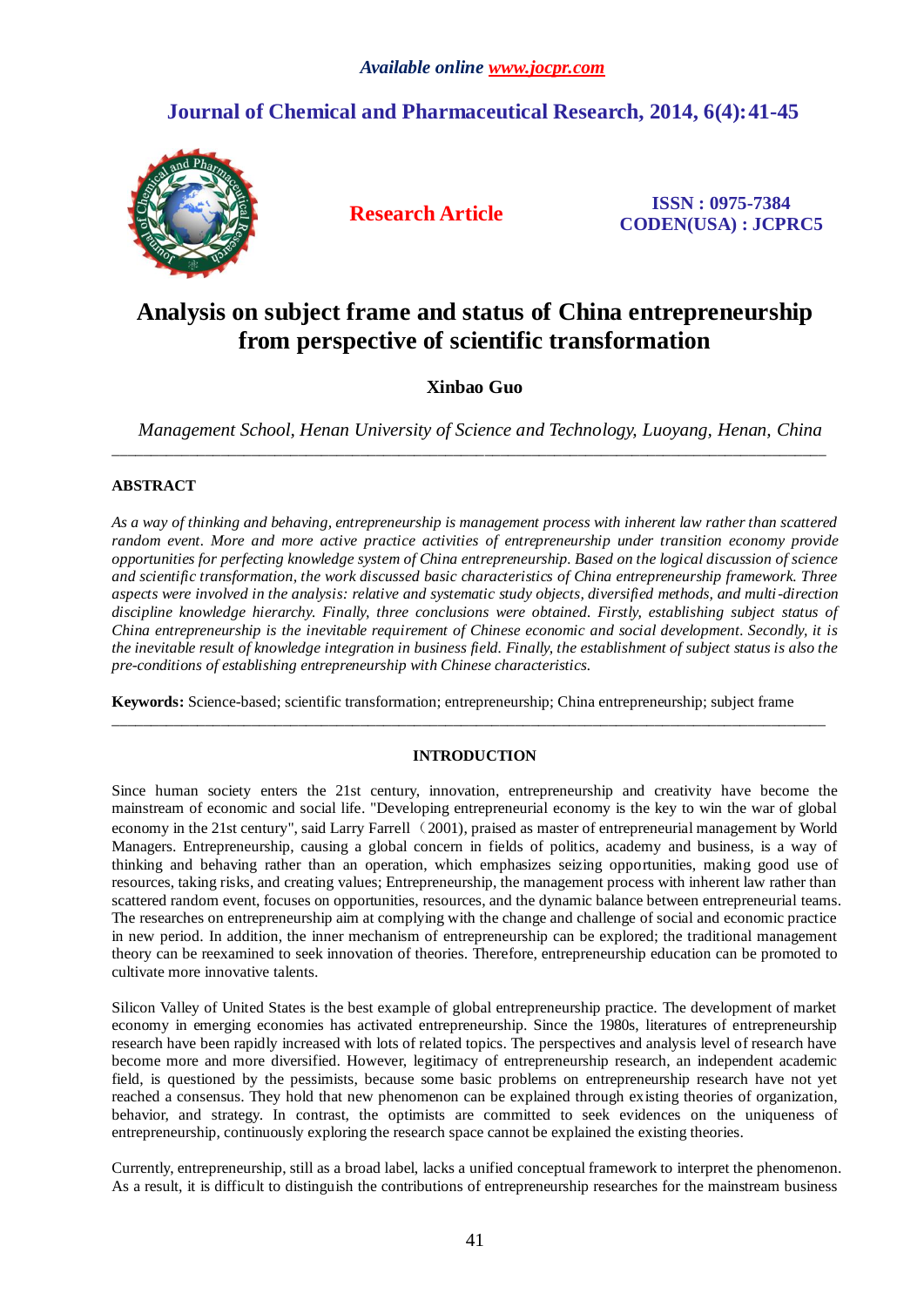## **Journal of Chemical and Pharmaceutical Research, 2014, 6(4):41-45**



**Research Article ISSN : 0975-7384 CODEN(USA) : JCPRC5**

# **Analysis on subject frame and status of China entrepreneurship from perspective of scientific transformation**

## **Xinbao Guo**

*Management School, Henan University of Science and Technology, Luoyang, Henan, China*

\_\_\_\_\_\_\_\_\_\_\_\_\_\_\_\_\_\_\_\_\_\_\_\_\_\_\_\_\_\_\_\_\_\_\_\_\_\_\_\_\_\_\_\_\_\_\_\_\_\_\_\_\_\_\_\_\_\_\_\_\_\_\_\_\_\_\_\_\_\_\_\_\_\_\_\_\_\_\_\_\_\_\_\_\_\_\_\_\_\_\_\_

## **ABSTRACT**

*As a way of thinking and behaving, entrepreneurship is management process with inherent law rather than scattered random event. More and more active practice activities of entrepreneurship under transition economy provide opportunities for perfecting knowledge system of China entrepreneurship. Based on the logical discussion of science and scientific transformation, the work discussed basic characteristics of China entrepreneurship framework. Three aspects were involved in the analysis: relative and systematic study objects, diversified methods, and multi-direction discipline knowledge hierarchy. Finally, three conclusions were obtained. Firstly, establishing subject status of China entrepreneurship is the inevitable requirement of Chinese economic and social development. Secondly, it is the inevitable result of knowledge integration in business field. Finally, the establishment of subject status is also the pre-conditions of establishing entrepreneurship with Chinese characteristics.*

**Keywords:** Science-based; scientific transformation; entrepreneurship; China entrepreneurship; subject frame

### **INTRODUCTION**

\_\_\_\_\_\_\_\_\_\_\_\_\_\_\_\_\_\_\_\_\_\_\_\_\_\_\_\_\_\_\_\_\_\_\_\_\_\_\_\_\_\_\_\_\_\_\_\_\_\_\_\_\_\_\_\_\_\_\_\_\_\_\_\_\_\_\_\_\_\_\_\_\_\_\_\_\_\_\_\_\_\_\_\_\_\_\_\_\_\_\_\_

Since human society enters the 21st century, innovation, entrepreneurship and creativity have become the mainstream of economic and social life. "Developing entrepreneurial economy is the key to win the war of global economy in the 21st century", said Larry Farrell (2001), praised as master of entrepreneurial management by World Managers. Entrepreneurship, causing a global concern in fields of politics, academy and business, is a way of thinking and behaving rather than an operation, which emphasizes seizing opportunities, making good use of resources, taking risks, and creating values; Entrepreneurship, the management process with inherent law rather than scattered random event, focuses on opportunities, resources, and the dynamic balance between entrepreneurial teams. The researches on entrepreneurship aim at complying with the change and challenge of social and economic practice in new period. In addition, the inner mechanism of entrepreneurship can be explored; the traditional management theory can be reexamined to seek innovation of theories. Therefore, entrepreneurship education can be promoted to cultivate more innovative talents.

Silicon Valley of United States is the best example of global entrepreneurship practice. The development of market economy in emerging economies has activated entrepreneurship. Since the 1980s, literatures of entrepreneurship research have been rapidly increased with lots of related topics. The perspectives and analysis level of research have become more and more diversified. However, legitimacy of entrepreneurship research, an independent academic field, is questioned by the pessimists, because some basic problems on entrepreneurship research have not yet reached a consensus. They hold that new phenomenon can be explained through existing theories of organization, behavior, and strategy. In contrast, the optimists are committed to seek evidences on the uniqueness of entrepreneurship, continuously exploring the research space cannot be explained the existing theories.

Currently, entrepreneurship, still as a broad label, lacks a unified conceptual framework to interpret the phenomenon. As a result, it is difficult to distinguish the contributions of entrepreneurship researches for the mainstream business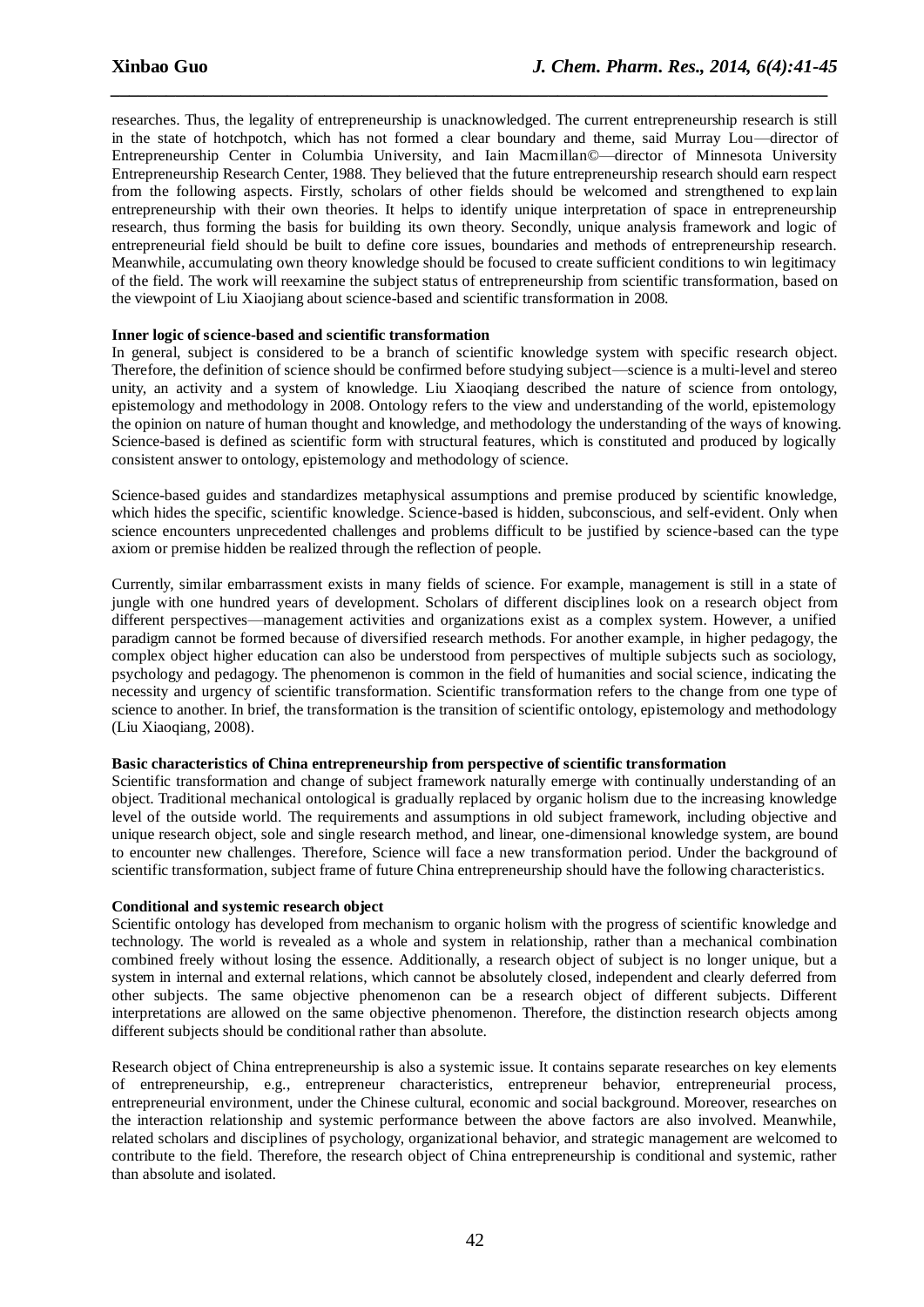researches. Thus, the legality of entrepreneurship is unacknowledged. The current entrepreneurship research is still in the state of hotchpotch, which has not formed a clear boundary and theme, said Murray Lou—director of Entrepreneurship Center in Columbia University, and Iain Macmillan©—director of Minnesota University Entrepreneurship Research Center, 1988. They believed that the future entrepreneurship research should earn respect from the following aspects. Firstly, scholars of other fields should be welcomed and strengthened to explain entrepreneurship with their own theories. It helps to identify unique interpretation of space in entrepreneurship research, thus forming the basis for building its own theory. Secondly, unique analysis framework and logic of entrepreneurial field should be built to define core issues, boundaries and methods of entrepreneurship research. Meanwhile, accumulating own theory knowledge should be focused to create sufficient conditions to win legitimacy of the field. The work will reexamine the subject status of entrepreneurship from scientific transformation, based on the viewpoint of Liu Xiaojiang about science-based and scientific transformation in 2008.

*\_\_\_\_\_\_\_\_\_\_\_\_\_\_\_\_\_\_\_\_\_\_\_\_\_\_\_\_\_\_\_\_\_\_\_\_\_\_\_\_\_\_\_\_\_\_\_\_\_\_\_\_\_\_\_\_\_\_\_\_\_\_\_\_\_\_\_\_\_\_\_\_\_\_\_\_\_*

#### **Inner logic of science-based and scientific transformation**

In general, subject is considered to be a branch of scientific knowledge system with specific research object. Therefore, the definition of science should be confirmed before studying subject—science is a multi-level and stereo unity, an activity and a system of knowledge. Liu Xiaoqiang described the nature of science from ontology, epistemology and methodology in 2008. Ontology refers to the view and understanding of the world, epistemology the opinion on nature of human thought and knowledge, and methodology the understanding of the ways of knowing. Science-based is defined as scientific form with structural features, which is constituted and produced by logically consistent answer to ontology, epistemology and methodology of science.

Science-based guides and standardizes metaphysical assumptions and premise produced by scientific knowledge, which hides the specific, scientific knowledge. Science-based is hidden, subconscious, and self-evident. Only when science encounters unprecedented challenges and problems difficult to be justified by science-based can the type axiom or premise hidden be realized through the reflection of people.

Currently, similar embarrassment exists in many fields of science. For example, management is still in a state of jungle with one hundred years of development. Scholars of different disciplines look on a research object from different perspectives—management activities and organizations exist as a complex system. However, a unified paradigm cannot be formed because of diversified research methods. For another example, in higher pedagogy, the complex object higher education can also be understood from perspectives of multiple subjects such as sociology, psychology and pedagogy. The phenomenon is common in the field of humanities and social science, indicating the necessity and urgency of scientific transformation. Scientific transformation refers to the change from one type of science to another. In brief, the transformation is the transition of scientific ontology, epistemology and methodology (Liu Xiaoqiang, 2008).

#### **Basic characteristics of China entrepreneurship from perspective of scientific transformation**

Scientific transformation and change of subject framework naturally emerge with continually understanding of an object. Traditional mechanical ontological is gradually replaced by organic holism due to the increasing knowledge level of the outside world. The requirements and assumptions in old subject framework, including objective and unique research object, sole and single research method, and linear, one-dimensional knowledge system, are bound to encounter new challenges. Therefore, Science will face a new transformation period. Under the background of scientific transformation, subject frame of future China entrepreneurship should have the following characteristics.

#### **Conditional and systemic research object**

Scientific ontology has developed from mechanism to organic holism with the progress of scientific knowledge and technology. The world is revealed as a whole and system in relationship, rather than a mechanical combination combined freely without losing the essence. Additionally, a research object of subject is no longer unique, but a system in internal and external relations, which cannot be absolutely closed, independent and clearly deferred from other subjects. The same objective phenomenon can be a research object of different subjects. Different interpretations are allowed on the same objective phenomenon. Therefore, the distinction research objects among different subjects should be conditional rather than absolute.

Research object of China entrepreneurship is also a systemic issue. It contains separate researches on key elements of entrepreneurship, e.g., entrepreneur characteristics, entrepreneur behavior, entrepreneurial process, entrepreneurial environment, under the Chinese cultural, economic and social background. Moreover, researches on the interaction relationship and systemic performance between the above factors are also involved. Meanwhile, related scholars and disciplines of psychology, organizational behavior, and strategic management are welcomed to contribute to the field. Therefore, the research object of China entrepreneurship is conditional and systemic, rather than absolute and isolated.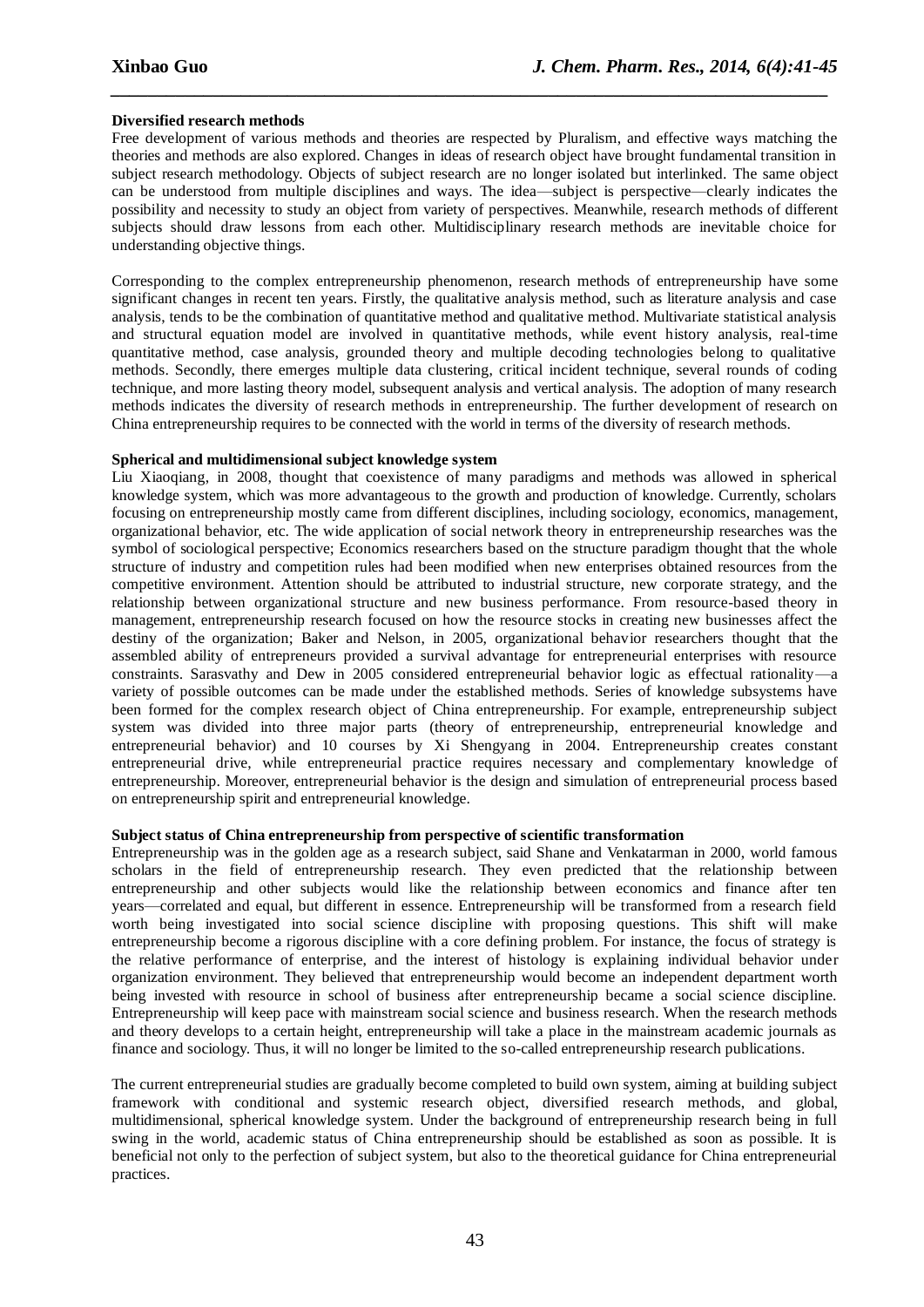#### **Diversified research methods**

Free development of various methods and theories are respected by Pluralism, and effective ways matching the theories and methods are also explored. Changes in ideas of research object have brought fundamental transition in subject research methodology. Objects of subject research are no longer isolated but interlinked. The same object can be understood from multiple disciplines and ways. The idea—subject is perspective—clearly indicates the possibility and necessity to study an object from variety of perspectives. Meanwhile, research methods of different subjects should draw lessons from each other. Multidisciplinary research methods are inevitable choice for understanding objective things.

*\_\_\_\_\_\_\_\_\_\_\_\_\_\_\_\_\_\_\_\_\_\_\_\_\_\_\_\_\_\_\_\_\_\_\_\_\_\_\_\_\_\_\_\_\_\_\_\_\_\_\_\_\_\_\_\_\_\_\_\_\_\_\_\_\_\_\_\_\_\_\_\_\_\_\_\_\_*

Corresponding to the complex entrepreneurship phenomenon, research methods of entrepreneurship have some significant changes in recent ten years. Firstly, the qualitative analysis method, such as literature analysis and case analysis, tends to be the combination of quantitative method and qualitative method. Multivariate statistical analysis and structural equation model are involved in quantitative methods, while event history analysis, real-time quantitative method, case analysis, grounded theory and multiple decoding technologies belong to qualitative methods. Secondly, there emerges multiple data clustering, critical incident technique, several rounds of coding technique, and more lasting theory model, subsequent analysis and vertical analysis. The adoption of many research methods indicates the diversity of research methods in entrepreneurship. The further development of research on China entrepreneurship requires to be connected with the world in terms of the diversity of research methods.

#### **Spherical and multidimensional subject knowledge system**

Liu Xiaoqiang, in 2008, thought that coexistence of many paradigms and methods was allowed in spherical knowledge system, which was more advantageous to the growth and production of knowledge. Currently, scholars focusing on entrepreneurship mostly came from different disciplines, including sociology, economics, management, organizational behavior, etc. The wide application of social network theory in entrepreneurship researches was the symbol of sociological perspective; Economics researchers based on the structure paradigm thought that the whole structure of industry and competition rules had been modified when new enterprises obtained resources from the competitive environment. Attention should be attributed to industrial structure, new corporate strategy, and the relationship between organizational structure and new business performance. From resource-based theory in management, entrepreneurship research focused on how the resource stocks in creating new businesses affect the destiny of the organization; Baker and Nelson, in 2005, organizational behavior researchers thought that the assembled ability of entrepreneurs provided a survival advantage for entrepreneurial enterprises with resource constraints. Sarasvathy and Dew in 2005 considered entrepreneurial behavior logic as effectual rationality—a variety of possible outcomes can be made under the established methods. Series of knowledge subsystems have been formed for the complex research object of China entrepreneurship. For example, entrepreneurship subject system was divided into three major parts (theory of entrepreneurship, entrepreneurial knowledge and entrepreneurial behavior) and 10 courses by Xi Shengyang in 2004. Entrepreneurship creates constant entrepreneurial drive, while entrepreneurial practice requires necessary and complementary knowledge of entrepreneurship. Moreover, entrepreneurial behavior is the design and simulation of entrepreneurial process based on entrepreneurship spirit and entrepreneurial knowledge.

#### **Subject status of China entrepreneurship from perspective of scientific transformation**

Entrepreneurship was in the golden age as a research subject, said Shane and Venkatarman in 2000, world famous scholars in the field of entrepreneurship research. They even predicted that the relationship between entrepreneurship and other subjects would like the relationship between economics and finance after ten years—correlated and equal, but different in essence. Entrepreneurship will be transformed from a research field worth being investigated into social science discipline with proposing questions. This shift will make entrepreneurship become a rigorous discipline with a core defining problem. For instance, the focus of strategy is the relative performance of enterprise, and the interest of histology is explaining individual behavior under organization environment. They believed that entrepreneurship would become an independent department worth being invested with resource in school of business after entrepreneurship became a social science discipline. Entrepreneurship will keep pace with mainstream social science and business research. When the research methods and theory develops to a certain height, entrepreneurship will take a place in the mainstream academic journals as finance and sociology. Thus, it will no longer be limited to the so-called entrepreneurship research publications.

The current entrepreneurial studies are gradually become completed to build own system, aiming at building subject framework with conditional and systemic research object, diversified research methods, and global, multidimensional, spherical knowledge system. Under the background of entrepreneurship research being in full swing in the world, academic status of China entrepreneurship should be established as soon as possible. It is beneficial not only to the perfection of subject system, but also to the theoretical guidance for China entrepreneurial practices.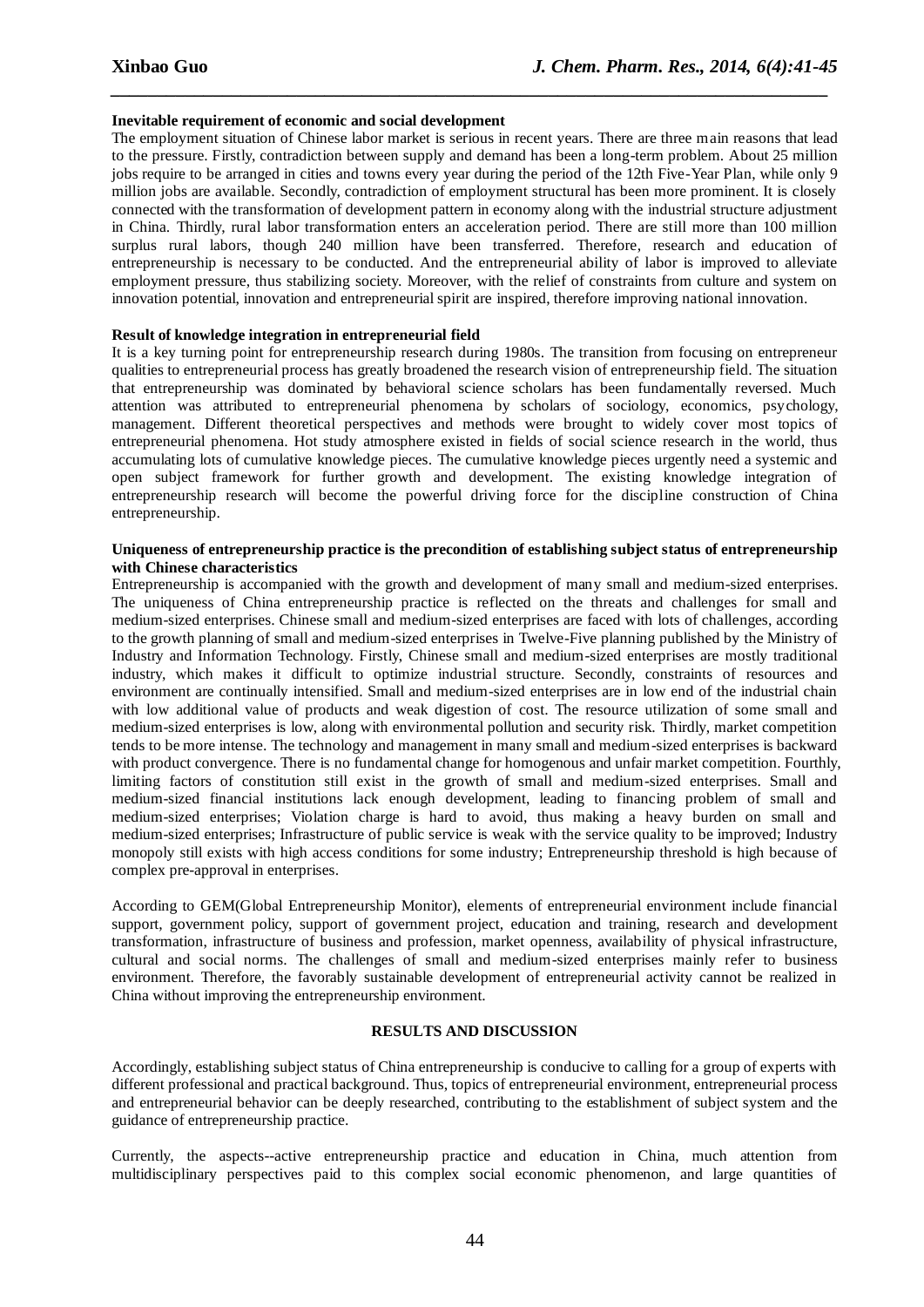#### **Inevitable requirement of economic and social development**

The employment situation of Chinese labor market is serious in recent years. There are three main reasons that lead to the pressure. Firstly, contradiction between supply and demand has been a long-term problem. About 25 million jobs require to be arranged in cities and towns every year during the period of the 12th Five-Year Plan, while only 9 million jobs are available. Secondly, contradiction of employment structural has been more prominent. It is closely connected with the transformation of development pattern in economy along with the industrial structure adjustment in China. Thirdly, rural labor transformation enters an acceleration period. There are still more than 100 million surplus rural labors, though 240 million have been transferred. Therefore, research and education of entrepreneurship is necessary to be conducted. And the entrepreneurial ability of labor is improved to alleviate employment pressure, thus stabilizing society. Moreover, with the relief of constraints from culture and system on innovation potential, innovation and entrepreneurial spirit are inspired, therefore improving national innovation.

*\_\_\_\_\_\_\_\_\_\_\_\_\_\_\_\_\_\_\_\_\_\_\_\_\_\_\_\_\_\_\_\_\_\_\_\_\_\_\_\_\_\_\_\_\_\_\_\_\_\_\_\_\_\_\_\_\_\_\_\_\_\_\_\_\_\_\_\_\_\_\_\_\_\_\_\_\_*

#### **Result of knowledge integration in entrepreneurial field**

It is a key turning point for entrepreneurship research during 1980s. The transition from focusing on entrepreneur qualities to entrepreneurial process has greatly broadened the research vision of entrepreneurship field. The situation that entrepreneurship was dominated by behavioral science scholars has been fundamentally reversed. Much attention was attributed to entrepreneurial phenomena by scholars of sociology, economics, psychology, management. Different theoretical perspectives and methods were brought to widely cover most topics of entrepreneurial phenomena. Hot study atmosphere existed in fields of social science research in the world, thus accumulating lots of cumulative knowledge pieces. The cumulative knowledge pieces urgently need a systemic and open subject framework for further growth and development. The existing knowledge integration of entrepreneurship research will become the powerful driving force for the discipline construction of China entrepreneurship.

#### **Uniqueness of entrepreneurship practice is the precondition of establishing subject status of entrepreneurship with Chinese characteristics**

Entrepreneurship is accompanied with the growth and development of many small and medium-sized enterprises. The uniqueness of China entrepreneurship practice is reflected on the threats and challenges for small and medium-sized enterprises. Chinese small and medium-sized enterprises are faced with lots of challenges, according to the growth planning of small and medium-sized enterprises in Twelve-Five planning published by the Ministry of Industry and Information Technology. Firstly, Chinese small and medium-sized enterprises are mostly traditional industry, which makes it difficult to optimize industrial structure. Secondly, constraints of resources and environment are continually intensified. Small and medium-sized enterprises are in low end of the industrial chain with low additional value of products and weak digestion of cost. The resource utilization of some small and medium-sized enterprises is low, along with environmental pollution and security risk. Thirdly, market competition tends to be more intense. The technology and management in many small and medium-sized enterprises is backward with product convergence. There is no fundamental change for homogenous and unfair market competition. Fourthly, limiting factors of constitution still exist in the growth of small and medium-sized enterprises. Small and medium-sized financial institutions lack enough development, leading to financing problem of small and medium-sized enterprises; Violation charge is hard to avoid, thus making a heavy burden on small and medium-sized enterprises; Infrastructure of public service is weak with the service quality to be improved; Industry monopoly still exists with high access conditions for some industry; Entrepreneurship threshold is high because of complex pre-approval in enterprises.

According to GEM(Global Entrepreneurship Monitor), elements of entrepreneurial environment include financial support, government policy, support of government project, education and training, research and development transformation, infrastructure of business and profession, market openness, availability of physical infrastructure, cultural and social norms. The challenges of small and medium-sized enterprises mainly refer to business environment. Therefore, the favorably sustainable development of entrepreneurial activity cannot be realized in China without improving the entrepreneurship environment.

#### **RESULTS AND DISCUSSION**

Accordingly, establishing subject status of China entrepreneurship is conducive to calling for a group of experts with different professional and practical background. Thus, topics of entrepreneurial environment, entrepreneurial process and entrepreneurial behavior can be deeply researched, contributing to the establishment of subject system and the guidance of entrepreneurship practice.

Currently, the aspects--active entrepreneurship practice and education in China, much attention from multidisciplinary perspectives paid to this complex social economic phenomenon, and large quantities of